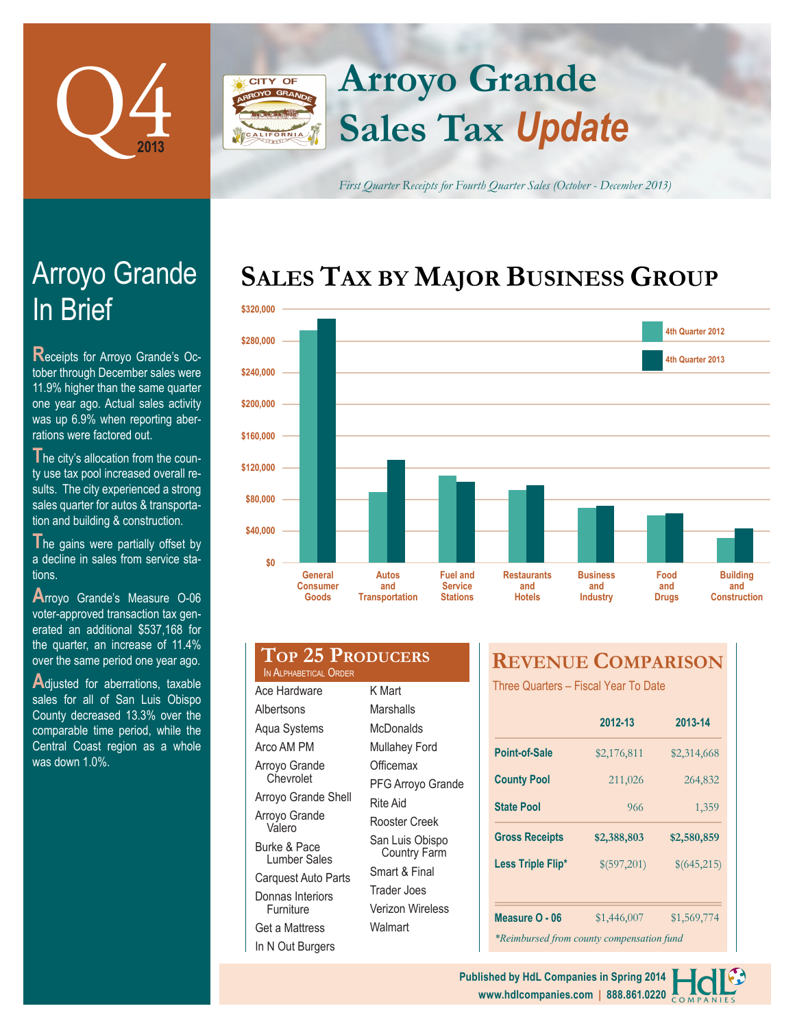

## **Arroyo Grande CITY OF Sales Tax** *Update*

*First Quarter Receipts for Fourth Quarter Sales (October - December 2013)*

# **SALES TAX BY MAJOR BUSINESS GROUP**



|           | <b>Consumer</b><br>Goods | and<br><b>Transportation</b> | <b>Service</b><br><b>Stations</b> | and<br><b>Hotels</b> | and<br><b>Industry</b> | and<br><b>Drugs</b> | and<br><b>Construction</b> |
|-----------|--------------------------|------------------------------|-----------------------------------|----------------------|------------------------|---------------------|----------------------------|
| \$0       | <b>General</b>           | <b>Autos</b>                 | <b>Fuel and</b>                   | <b>Restaurants</b>   | <b>Business</b>        | Food                | <b>Building</b>            |
| \$40,000  |                          |                              |                                   |                      |                        |                     |                            |
| \$80,000  |                          |                              |                                   |                      |                        |                     |                            |
| \$120,000 |                          |                              |                                   |                      |                        |                     |                            |
| \$160,000 |                          |                              |                                   |                      |                        |                     |                            |
| \$200,000 |                          |                              |                                   |                      |                        |                     |                            |
| \$240,000 |                          |                              |                                   |                      |                        |                     |                            |
|           |                          |                              |                                   |                      |                        |                     | 4th Quarter 2013           |
| \$280,000 |                          |                              |                                   |                      |                        |                     | 4th Quarter 2012           |

| งงงนธ                                            | <u>Hansportation</u><br>olalions       |  |  |
|--------------------------------------------------|----------------------------------------|--|--|
|                                                  |                                        |  |  |
| <b>TOP 25 PRODUCERS</b><br>IN ALPHABETICAL ORDER |                                        |  |  |
| Ace Hardware                                     | K Mart                                 |  |  |
| Albertsons                                       | Marshalls                              |  |  |
| Aqua Systems                                     | McDonalds                              |  |  |
| Arco AM PM                                       | <b>Mullahey Ford</b>                   |  |  |
| Arroyo Grande                                    | Officemax                              |  |  |
| Chevrolet                                        | PFG Arroyo Grande<br>Rite Aid          |  |  |
| Arroyo Grande Shell                              |                                        |  |  |
| Arroyo Grande<br>Valero                          | Rooster Creek                          |  |  |
| Burke & Pace<br>Lumber Sales                     | San Luis Obispo<br><b>Country Farm</b> |  |  |
| Carquest Auto Parts                              | Smart & Final                          |  |  |
| Donnas Interiors                                 | <b>Trader Joes</b>                     |  |  |

Verizon Wireless

Walmart

Furniture Get a Mattress In N Out Burgers

# **REVENUE COMPARISON**

Three Quarters – Fiscal Year To Date

|                                           | 2012-13     | 2013-14     |  |  |  |  |
|-------------------------------------------|-------------|-------------|--|--|--|--|
| Point-of-Sale                             | \$2,176,811 | \$2,314,668 |  |  |  |  |
| <b>County Pool</b>                        | 211,026     | 264,832     |  |  |  |  |
| <b>State Pool</b>                         | 966         | 1,359       |  |  |  |  |
| <b>Gross Receipts</b>                     | \$2,388,803 | \$2,580,859 |  |  |  |  |
| Less Triple Flip*                         | \$(597,201) | \$(645,215) |  |  |  |  |
|                                           |             |             |  |  |  |  |
| Measure O - 06                            | \$1,446,007 | \$1,569,774 |  |  |  |  |
| *Reimbursed from county compensation fund |             |             |  |  |  |  |

# In Brief Arroyo Grande

**R**eceipts for Arroyo Grande's October through December sales were 11.9% higher than the same quarter one year ago. Actual sales activity was up 6.9% when reporting aberrations were factored out.

**T**he city's allocation from the county use tax pool increased overall results. The city experienced a strong sales quarter for autos & transportation and building & construction.

The gains were partially offset by a decline in sales from service stations.

**A**rroyo Grande's Measure O-06 voter-approved transaction tax generated an additional \$537,168 for the quarter, an increase of 11.4% over the same period one year ago.

**A**djusted for aberrations, taxable sales for all of San Luis Obispo County decreased 13.3% over the comparable time period, while the Central Coast region as a whole was down 1.0%

> **www.hdlcompanies.com | 888.861.0220 Published by HdL Companies in Spring 2014**